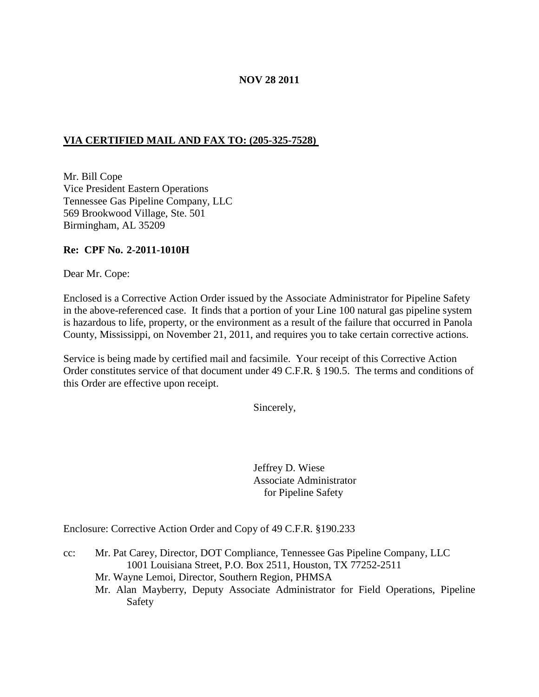## **NOV 28 2011**

# **VIA CERTIFIED MAIL AND FAX TO: (205-325-7528)**

Mr. Bill Cope Vice President Eastern Operations Tennessee Gas Pipeline Company, LLC 569 Brookwood Village, Ste. 501 Birmingham, AL 35209

#### **Re: CPF No. 2-2011-1010H**

Dear Mr. Cope:

Enclosed is a Corrective Action Order issued by the Associate Administrator for Pipeline Safety in the above-referenced case. It finds that a portion of your Line 100 natural gas pipeline system is hazardous to life, property, or the environment as a result of the failure that occurred in Panola County, Mississippi, on November 21, 2011, and requires you to take certain corrective actions.

Service is being made by certified mail and facsimile. Your receipt of this Corrective Action Order constitutes service of that document under 49 C.F.R. § 190.5. The terms and conditions of this Order are effective upon receipt.

Sincerely,

Jeffrey D. Wiese Associate Administrator for Pipeline Safety

Enclosure: Corrective Action Order and Copy of 49 C.F.R. §190.233

- cc: Mr. Pat Carey, Director, DOT Compliance, Tennessee Gas Pipeline Company, LLC 1001 Louisiana Street, P.O. Box 2511, Houston, TX 77252-2511
	- Mr. Wayne Lemoi, Director, Southern Region, PHMSA
	- Mr. Alan Mayberry, Deputy Associate Administrator for Field Operations, Pipeline Safety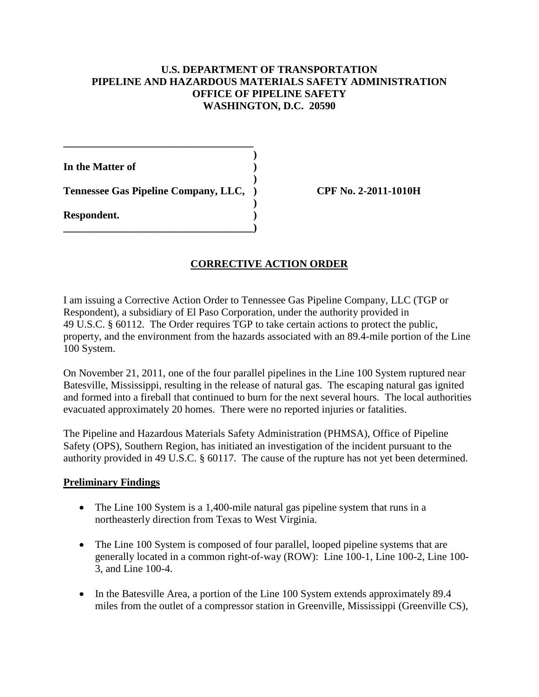## **U.S. DEPARTMENT OF TRANSPORTATION PIPELINE AND HAZARDOUS MATERIALS SAFETY ADMINISTRATION OFFICE OF PIPELINE SAFETY WASHINGTON, D.C. 20590**

**)**

**)**

**)**

**In the Matter of )**

**Tennessee Gas Pipeline Company, LLC, ) CPF No. 2-2011-1010H**

**\_\_\_\_\_\_\_\_\_\_\_\_\_\_\_\_\_\_\_\_\_\_\_\_\_\_\_\_\_\_\_\_\_\_\_\_)**

**\_\_\_\_\_\_\_\_\_\_\_\_\_\_\_\_\_\_\_\_\_\_\_\_\_\_\_\_\_\_\_\_\_\_\_\_**

**Respondent. )**

# **CORRECTIVE ACTION ORDER**

I am issuing a Corrective Action Order to Tennessee Gas Pipeline Company, LLC (TGP or Respondent), a subsidiary of El Paso Corporation, under the authority provided in 49 U.S.C. § 60112. The Order requires TGP to take certain actions to protect the public, property, and the environment from the hazards associated with an 89.4-mile portion of the Line 100 System.

On November 21, 2011, one of the four parallel pipelines in the Line 100 System ruptured near Batesville, Mississippi, resulting in the release of natural gas. The escaping natural gas ignited and formed into a fireball that continued to burn for the next several hours. The local authorities evacuated approximately 20 homes. There were no reported injuries or fatalities.

The Pipeline and Hazardous Materials Safety Administration (PHMSA), Office of Pipeline Safety (OPS), Southern Region, has initiated an investigation of the incident pursuant to the authority provided in 49 U.S.C. § 60117. The cause of the rupture has not yet been determined.

# **Preliminary Findings**

- The Line 100 System is a 1,400-mile natural gas pipeline system that runs in a northeasterly direction from Texas to West Virginia.
- The Line 100 System is composed of four parallel, looped pipeline systems that are generally located in a common right-of-way (ROW): Line 100-1, Line 100-2, Line 100- 3, and Line 100-4.
- In the Batesville Area, a portion of the Line 100 System extends approximately 89.4 miles from the outlet of a compressor station in Greenville, Mississippi (Greenville CS),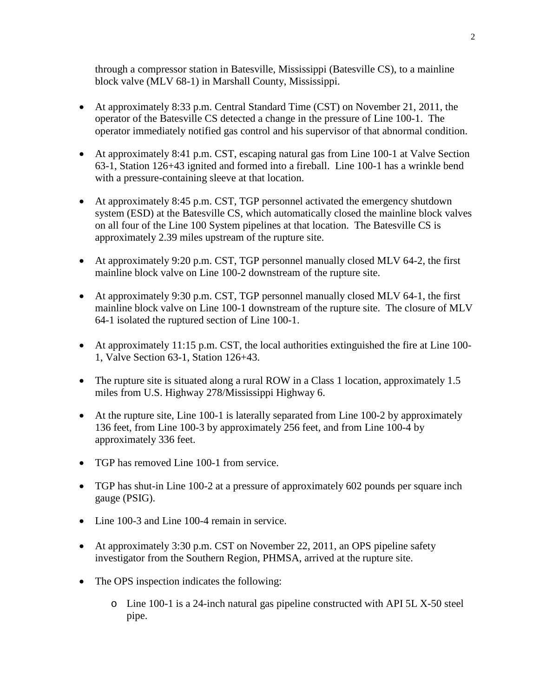through a compressor station in Batesville, Mississippi (Batesville CS), to a mainline block valve (MLV 68-1) in Marshall County, Mississippi.

- At approximately 8:33 p.m. Central Standard Time (CST) on November 21, 2011, the operator of the Batesville CS detected a change in the pressure of Line 100-1. The operator immediately notified gas control and his supervisor of that abnormal condition.
- At approximately 8:41 p.m. CST, escaping natural gas from Line 100-1 at Valve Section 63-1, Station 126+43 ignited and formed into a fireball. Line 100-1 has a wrinkle bend with a pressure-containing sleeve at that location.
- At approximately 8:45 p.m. CST, TGP personnel activated the emergency shutdown system (ESD) at the Batesville CS, which automatically closed the mainline block valves on all four of the Line 100 System pipelines at that location. The Batesville CS is approximately 2.39 miles upstream of the rupture site.
- At approximately 9:20 p.m. CST, TGP personnel manually closed MLV 64-2, the first mainline block valve on Line 100-2 downstream of the rupture site.
- At approximately 9:30 p.m. CST, TGP personnel manually closed MLV 64-1, the first mainline block valve on Line 100-1 downstream of the rupture site. The closure of MLV 64-1 isolated the ruptured section of Line 100-1.
- At approximately 11:15 p.m. CST, the local authorities extinguished the fire at Line 100-1, Valve Section 63-1, Station 126+43.
- The rupture site is situated along a rural ROW in a Class 1 location, approximately 1.5 miles from U.S. Highway 278/Mississippi Highway 6.
- At the rupture site, Line 100-1 is laterally separated from Line 100-2 by approximately 136 feet, from Line 100-3 by approximately 256 feet, and from Line 100-4 by approximately 336 feet.
- TGP has removed Line 100-1 from service.
- TGP has shut-in Line 100-2 at a pressure of approximately 602 pounds per square inch gauge (PSIG).
- Line 100-3 and Line 100-4 remain in service.
- At approximately 3:30 p.m. CST on November 22, 2011, an OPS pipeline safety investigator from the Southern Region, PHMSA, arrived at the rupture site.
- The OPS inspection indicates the following:
	- o Line 100-1 is a 24-inch natural gas pipeline constructed with API 5L X-50 steel pipe.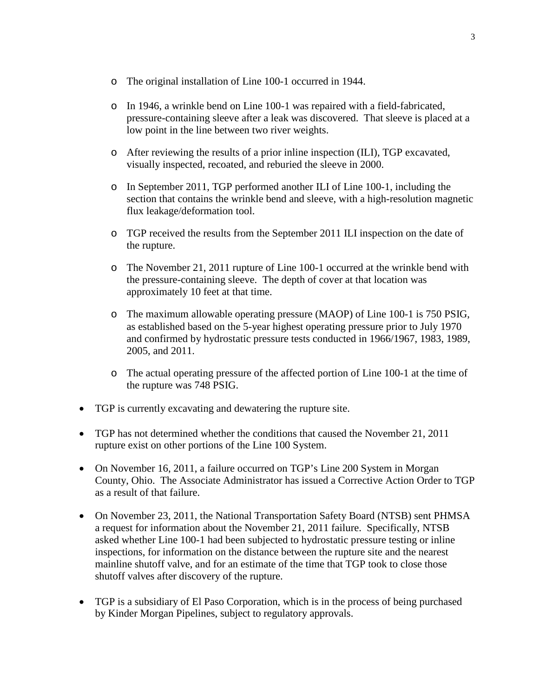- o The original installation of Line 100-1 occurred in 1944.
- o In 1946, a wrinkle bend on Line 100-1 was repaired with a field-fabricated, pressure-containing sleeve after a leak was discovered. That sleeve is placed at a low point in the line between two river weights.
- o After reviewing the results of a prior inline inspection (ILI), TGP excavated, visually inspected, recoated, and reburied the sleeve in 2000.
- o In September 2011, TGP performed another ILI of Line 100-1, including the section that contains the wrinkle bend and sleeve, with a high-resolution magnetic flux leakage/deformation tool.
- o TGP received the results from the September 2011 ILI inspection on the date of the rupture.
- o The November 21, 2011 rupture of Line 100-1 occurred at the wrinkle bend with the pressure-containing sleeve. The depth of cover at that location was approximately 10 feet at that time.
- o The maximum allowable operating pressure (MAOP) of Line 100-1 is 750 PSIG, as established based on the 5-year highest operating pressure prior to July 1970 and confirmed by hydrostatic pressure tests conducted in 1966/1967, 1983, 1989, 2005, and 2011.
- o The actual operating pressure of the affected portion of Line 100-1 at the time of the rupture was 748 PSIG.
- TGP is currently excavating and dewatering the rupture site.
- TGP has not determined whether the conditions that caused the November 21, 2011 rupture exist on other portions of the Line 100 System.
- On November 16, 2011, a failure occurred on TGP's Line 200 System in Morgan County, Ohio. The Associate Administrator has issued a Corrective Action Order to TGP as a result of that failure.
- On November 23, 2011, the National Transportation Safety Board (NTSB) sent PHMSA a request for information about the November 21, 2011 failure. Specifically, NTSB asked whether Line 100-1 had been subjected to hydrostatic pressure testing or inline inspections, for information on the distance between the rupture site and the nearest mainline shutoff valve, and for an estimate of the time that TGP took to close those shutoff valves after discovery of the rupture.
- TGP is a subsidiary of El Paso Corporation, which is in the process of being purchased by Kinder Morgan Pipelines, subject to regulatory approvals.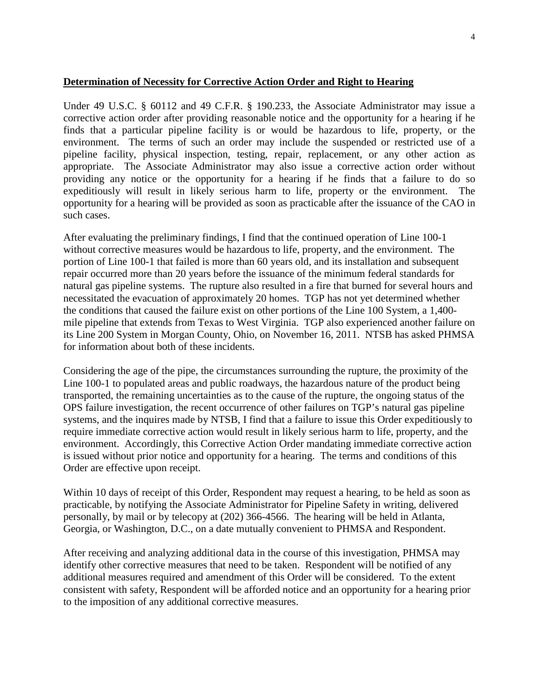### **Determination of Necessity for Corrective Action Order and Right to Hearing**

Under 49 U.S.C. § 60112 and 49 C.F.R. § 190.233, the Associate Administrator may issue a corrective action order after providing reasonable notice and the opportunity for a hearing if he finds that a particular pipeline facility is or would be hazardous to life, property, or the environment. The terms of such an order may include the suspended or restricted use of a pipeline facility, physical inspection, testing, repair, replacement, or any other action as appropriate. The Associate Administrator may also issue a corrective action order without providing any notice or the opportunity for a hearing if he finds that a failure to do so expeditiously will result in likely serious harm to life, property or the environment. The opportunity for a hearing will be provided as soon as practicable after the issuance of the CAO in such cases.

After evaluating the preliminary findings, I find that the continued operation of Line 100-1 without corrective measures would be hazardous to life, property, and the environment. The portion of Line 100-1 that failed is more than 60 years old, and its installation and subsequent repair occurred more than 20 years before the issuance of the minimum federal standards for natural gas pipeline systems. The rupture also resulted in a fire that burned for several hours and necessitated the evacuation of approximately 20 homes. TGP has not yet determined whether the conditions that caused the failure exist on other portions of the Line 100 System, a 1,400 mile pipeline that extends from Texas to West Virginia. TGP also experienced another failure on its Line 200 System in Morgan County, Ohio, on November 16, 2011. NTSB has asked PHMSA for information about both of these incidents.

Considering the age of the pipe, the circumstances surrounding the rupture, the proximity of the Line 100-1 to populated areas and public roadways, the hazardous nature of the product being transported, the remaining uncertainties as to the cause of the rupture, the ongoing status of the OPS failure investigation, the recent occurrence of other failures on TGP's natural gas pipeline systems, and the inquires made by NTSB, I find that a failure to issue this Order expeditiously to require immediate corrective action would result in likely serious harm to life, property, and the environment. Accordingly, this Corrective Action Order mandating immediate corrective action is issued without prior notice and opportunity for a hearing. The terms and conditions of this Order are effective upon receipt.

Within 10 days of receipt of this Order, Respondent may request a hearing, to be held as soon as practicable, by notifying the Associate Administrator for Pipeline Safety in writing, delivered personally, by mail or by telecopy at (202) 366-4566. The hearing will be held in Atlanta, Georgia, or Washington, D.C., on a date mutually convenient to PHMSA and Respondent.

After receiving and analyzing additional data in the course of this investigation, PHMSA may identify other corrective measures that need to be taken. Respondent will be notified of any additional measures required and amendment of this Order will be considered. To the extent consistent with safety, Respondent will be afforded notice and an opportunity for a hearing prior to the imposition of any additional corrective measures.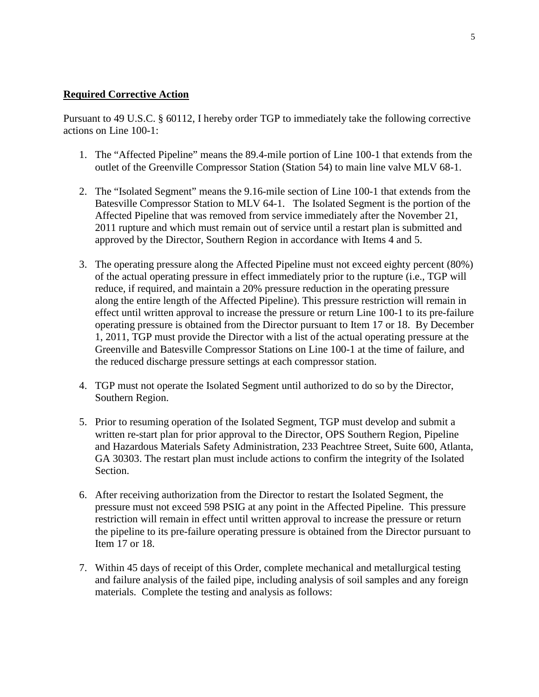## **Required Corrective Action**

Pursuant to 49 U.S.C. § 60112, I hereby order TGP to immediately take the following corrective actions on Line 100-1:

- 1. The "Affected Pipeline" means the 89.4-mile portion of Line 100-1 that extends from the outlet of the Greenville Compressor Station (Station 54) to main line valve MLV 68-1.
- 2. The "Isolated Segment" means the 9.16-mile section of Line 100-1 that extends from the Batesville Compressor Station to MLV 64-1. The Isolated Segment is the portion of the Affected Pipeline that was removed from service immediately after the November 21, 2011 rupture and which must remain out of service until a restart plan is submitted and approved by the Director, Southern Region in accordance with Items 4 and 5.
- 3. The operating pressure along the Affected Pipeline must not exceed eighty percent (80%) of the actual operating pressure in effect immediately prior to the rupture (i.e., TGP will reduce, if required, and maintain a 20% pressure reduction in the operating pressure along the entire length of the Affected Pipeline). This pressure restriction will remain in effect until written approval to increase the pressure or return Line 100-1 to its pre-failure operating pressure is obtained from the Director pursuant to Item 17 or 18. By December 1, 2011, TGP must provide the Director with a list of the actual operating pressure at the Greenville and Batesville Compressor Stations on Line 100-1 at the time of failure, and the reduced discharge pressure settings at each compressor station.
- 4. TGP must not operate the Isolated Segment until authorized to do so by the Director, Southern Region.
- 5. Prior to resuming operation of the Isolated Segment, TGP must develop and submit a written re-start plan for prior approval to the Director, OPS Southern Region, Pipeline and Hazardous Materials Safety Administration, 233 Peachtree Street, Suite 600, Atlanta, GA 30303. The restart plan must include actions to confirm the integrity of the Isolated Section.
- 6. After receiving authorization from the Director to restart the Isolated Segment, the pressure must not exceed 598 PSIG at any point in the Affected Pipeline. This pressure restriction will remain in effect until written approval to increase the pressure or return the pipeline to its pre-failure operating pressure is obtained from the Director pursuant to Item 17 or 18.
- 7. Within 45 days of receipt of this Order, complete mechanical and metallurgical testing and failure analysis of the failed pipe, including analysis of soil samples and any foreign materials. Complete the testing and analysis as follows: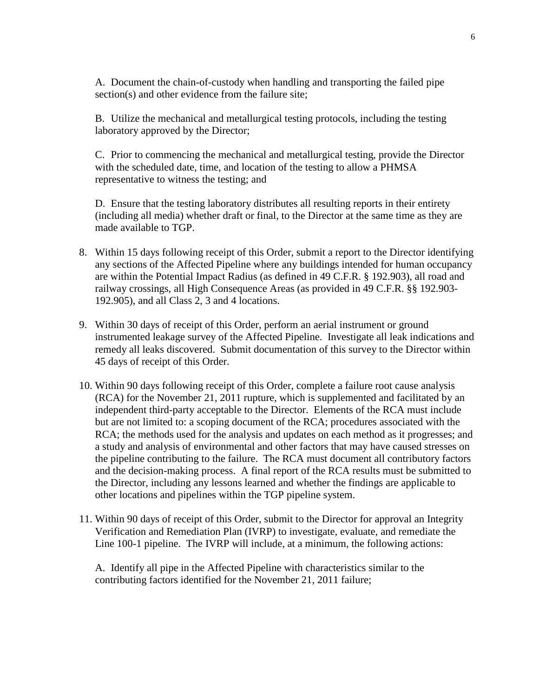A. Document the chain-of-custody when handling and transporting the failed pipe section(s) and other evidence from the failure site;

B. Utilize the mechanical and metallurgical testing protocols, including the testing laboratory approved by the Director;

C. Prior to commencing the mechanical and metallurgical testing, provide the Director with the scheduled date, time, and location of the testing to allow a PHMSA representative to witness the testing; and

D. Ensure that the testing laboratory distributes all resulting reports in their entirety (including all media) whether draft or final, to the Director at the same time as they are made available to TGP.

- 8. Within 15 days following receipt of this Order, submit a report to the Director identifying any sections of the Affected Pipeline where any buildings intended for human occupancy are within the Potential Impact Radius (as defined in 49 C.F.R. § 192.903), all road and railway crossings, all High Consequence Areas (as provided in 49 C.F.R. §§ 192.903- 192.905), and all Class 2, 3 and 4 locations.
- 9. Within 30 days of receipt of this Order, perform an aerial instrument or ground instrumented leakage survey of the Affected Pipeline. Investigate all leak indications and remedy all leaks discovered. Submit documentation of this survey to the Director within 45 days of receipt of this Order.
- 10. Within 90 days following receipt of this Order, complete a failure root cause analysis (RCA) for the November 21, 2011 rupture, which is supplemented and facilitated by an independent third-party acceptable to the Director. Elements of the RCA must include but are not limited to: a scoping document of the RCA; procedures associated with the RCA; the methods used for the analysis and updates on each method as it progresses; and a study and analysis of environmental and other factors that may have caused stresses on the pipeline contributing to the failure. The RCA must document all contributory factors and the decision-making process. A final report of the RCA results must be submitted to the Director, including any lessons learned and whether the findings are applicable to other locations and pipelines within the TGP pipeline system.
- 11. Within 90 days of receipt of this Order, submit to the Director for approval an Integrity Verification and Remediation Plan (IVRP) to investigate, evaluate, and remediate the Line 100-1 pipeline. The IVRP will include, at a minimum, the following actions:

A. Identify all pipe in the Affected Pipeline with characteristics similar to the contributing factors identified for the November 21, 2011 failure;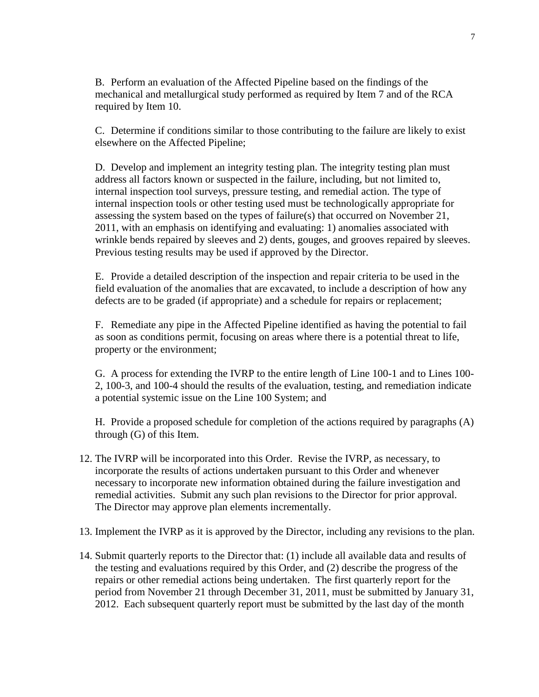B. Perform an evaluation of the Affected Pipeline based on the findings of the mechanical and metallurgical study performed as required by Item 7 and of the RCA required by Item 10.

C. Determine if conditions similar to those contributing to the failure are likely to exist elsewhere on the Affected Pipeline;

D. Develop and implement an integrity testing plan. The integrity testing plan must address all factors known or suspected in the failure, including, but not limited to, internal inspection tool surveys, pressure testing, and remedial action. The type of internal inspection tools or other testing used must be technologically appropriate for assessing the system based on the types of failure(s) that occurred on November 21, 2011, with an emphasis on identifying and evaluating: 1) anomalies associated with wrinkle bends repaired by sleeves and 2) dents, gouges, and grooves repaired by sleeves. Previous testing results may be used if approved by the Director.

E. Provide a detailed description of the inspection and repair criteria to be used in the field evaluation of the anomalies that are excavated, to include a description of how any defects are to be graded (if appropriate) and a schedule for repairs or replacement;

F. Remediate any pipe in the Affected Pipeline identified as having the potential to fail as soon as conditions permit, focusing on areas where there is a potential threat to life, property or the environment;

G. A process for extending the IVRP to the entire length of Line 100-1 and to Lines 100- 2, 100-3, and 100-4 should the results of the evaluation, testing, and remediation indicate a potential systemic issue on the Line 100 System; and

H. Provide a proposed schedule for completion of the actions required by paragraphs (A) through (G) of this Item.

- 12. The IVRP will be incorporated into this Order. Revise the IVRP, as necessary, to incorporate the results of actions undertaken pursuant to this Order and whenever necessary to incorporate new information obtained during the failure investigation and remedial activities. Submit any such plan revisions to the Director for prior approval. The Director may approve plan elements incrementally.
- 13. Implement the IVRP as it is approved by the Director, including any revisions to the plan.
- 14. Submit quarterly reports to the Director that: (1) include all available data and results of the testing and evaluations required by this Order, and (2) describe the progress of the repairs or other remedial actions being undertaken. The first quarterly report for the period from November 21 through December 31, 2011, must be submitted by January 31, 2012. Each subsequent quarterly report must be submitted by the last day of the month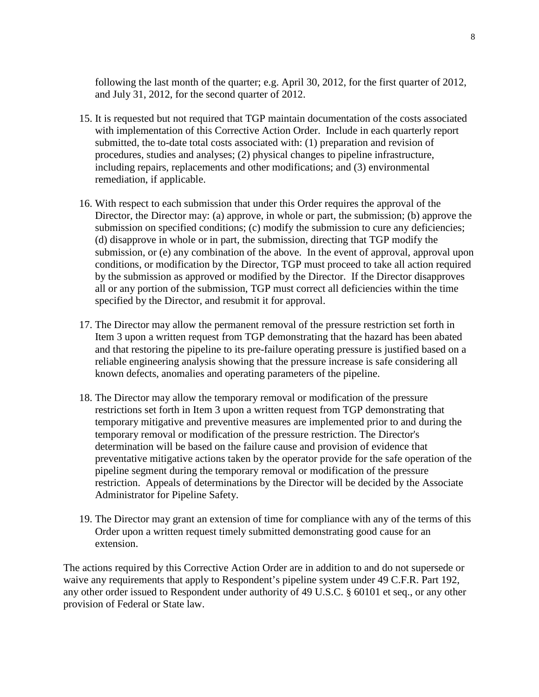following the last month of the quarter; e.g. April 30, 2012, for the first quarter of 2012, and July 31, 2012, for the second quarter of 2012.

- 15. It is requested but not required that TGP maintain documentation of the costs associated with implementation of this Corrective Action Order. Include in each quarterly report submitted, the to-date total costs associated with: (1) preparation and revision of procedures, studies and analyses; (2) physical changes to pipeline infrastructure, including repairs, replacements and other modifications; and (3) environmental remediation, if applicable.
- 16. With respect to each submission that under this Order requires the approval of the Director, the Director may: (a) approve, in whole or part, the submission; (b) approve the submission on specified conditions; (c) modify the submission to cure any deficiencies; (d) disapprove in whole or in part, the submission, directing that TGP modify the submission, or (e) any combination of the above. In the event of approval, approval upon conditions, or modification by the Director, TGP must proceed to take all action required by the submission as approved or modified by the Director. If the Director disapproves all or any portion of the submission, TGP must correct all deficiencies within the time specified by the Director, and resubmit it for approval.
- 17. The Director may allow the permanent removal of the pressure restriction set forth in Item 3 upon a written request from TGP demonstrating that the hazard has been abated and that restoring the pipeline to its pre-failure operating pressure is justified based on a reliable engineering analysis showing that the pressure increase is safe considering all known defects, anomalies and operating parameters of the pipeline.
- 18. The Director may allow the temporary removal or modification of the pressure restrictions set forth in Item 3 upon a written request from TGP demonstrating that temporary mitigative and preventive measures are implemented prior to and during the temporary removal or modification of the pressure restriction. The Director's determination will be based on the failure cause and provision of evidence that preventative mitigative actions taken by the operator provide for the safe operation of the pipeline segment during the temporary removal or modification of the pressure restriction. Appeals of determinations by the Director will be decided by the Associate Administrator for Pipeline Safety.
- 19. The Director may grant an extension of time for compliance with any of the terms of this Order upon a written request timely submitted demonstrating good cause for an extension.

The actions required by this Corrective Action Order are in addition to and do not supersede or waive any requirements that apply to Respondent's pipeline system under 49 C.F.R. Part 192, any other order issued to Respondent under authority of 49 U.S.C. § 60101 et seq., or any other provision of Federal or State law.